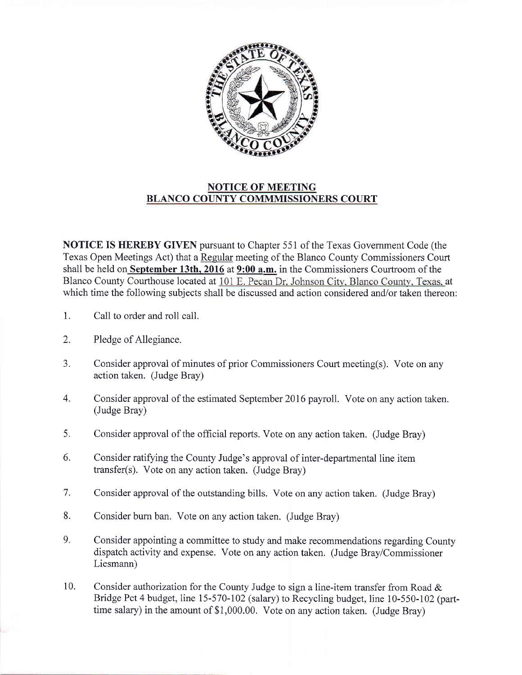

## NOTICE OF MEETING BLANCO COUNTY COMMMISSIONERS COURT

NOTICE IS HEREBY GIVEN pursuant to Chapter 551 of the Texas Government Code (the Texas Open Meetings Act) that a Regular meeting of the Blanco County Commissioners Court shall be held on September 13th, 2016 at 9:00 a.m. in the Commissioners Courtroom of the Blanco County Courthouse located at 101 E. Pecan Dr, Johnson City, Blanco County, Texas, at which time the following subjects shall be discussed and action considered and/or taken thereon:

- 1. Call to order and roll call.
- Pledge of Allegiance. 2.
- Consider approvai of minutes of prior Commissioners Court meeting(s). Vote on any action taken. (Judge Bray) 3.
- Consider approval of the estimated September 2016 payroll. Vote on any action taken. (Judge Bray) 4.
- Consider approval of the official reports. Vote on any action taken. (Judge Bray) 5.
- Consider ratifying the County Judge's approval of inter-departmental line item transfer(s). Vote on any action taken. (Judge Bray) 6.
- Consider approval of the outstanding bills. Vote on any action taken. (Judge Bray) 7.
- Consider burn ban. Vote on any action taken. (Judge Bray) 8.
- Consider appointing a committee to study and make recommendations regarding County dispatch activity and expense. Vote on any action taken. (Judge Bray/Commissioner Liesmann) 9.
- Consider authorization for the County Judge to sign a line-item transfer from Road & Bridge Pct 4 budget, line 15-570-102 (salary) to Recycling budget, line 10-550-102 (parttime salary) in the amount of \$1,000.00. Vote on any action taken. (Judge Bray) 10.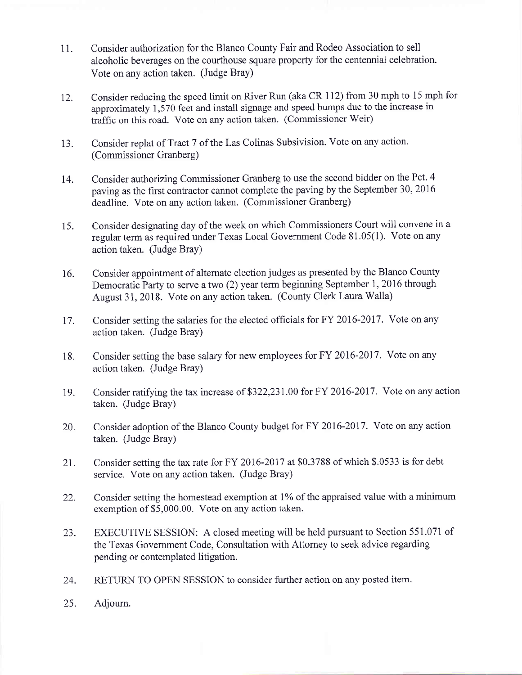- <sup>1</sup>1. Consider authorization for the Blanco County Fair and Rodeo Association to sell alcoholic beverages on the courthouse square property for the centennial celebration. Vote on any action taken. (Judge Bray)
- 12. Consider reducing the speed limit on River Run (aka CR 112) from 30 mph to 15 mph for approximately 1,570 feet and install signage and speed bumps due to the increase in traffic on this road. Vote on any action taken. (Commissioner Weir)
- 13. Consider replat of Tract 7 of the Las Colinas Subsivision. Vote on any action. (Commissioner Granberg)
- 14. Consider authorizing Commissioner Granberg to use the second bidder on the Pct. 4 paving as the first contractor cannot complete the paving by the September 30,2016 deadline. Vote on any action taken. (Commissioner Granberg)
- 15. Consider designating day of the week on which Commissioners Court will convene in <sup>a</sup> regular term as required under Texas Local Government Code 81.05(1). Vote on any action taken. (Judge Bray)
- 16. Consider appointment of altemate election judges as presented by the Blanco County Democratic Party to serve a two (2) year term beginning September 1, 2016 through August 31, 2018. Vote on any action taken. (County Clerk Laura Walla)
- 17. Consider setting the salaries for the elected officials for FY 2016-2017. Vote on any action taken. (Judge Bray)
- 18. Consider setting the base salary for new employees for FY 2016-2017. Vote on any action taken. (Judge Bray)
- 19. Consider ratifying the tax increase of 5322,231 .00 for FY 2016-2017. Vote on any action taken. (Judge Bray)
- 20. Consider adoption of the Blanco County budget for FY 2016-2017. Vote on any action taken. (Judge Bray)
- 21. Consider setting the tax rate for FY 2016-2017 at \$0.3788 of which \$.0533 is for debt service. Vote on any action taken. (Judge Bray)
- 22. Consider setting the homestead exemption at  $1\%$  of the appraised value with a minimum exemption of \$5,000.00. Vote on any action taken.
- 23. EXECUTIVE SESSION: A closed meeting will be held pursuant to Section 551.071 of the Texas Government Code, Consultation with Attomey to seek advice regarding pending or contemplated litigation.
- 24. RETURN TO OPEN SESSION to consider further action on any posted item.
- 25. Adjoum.